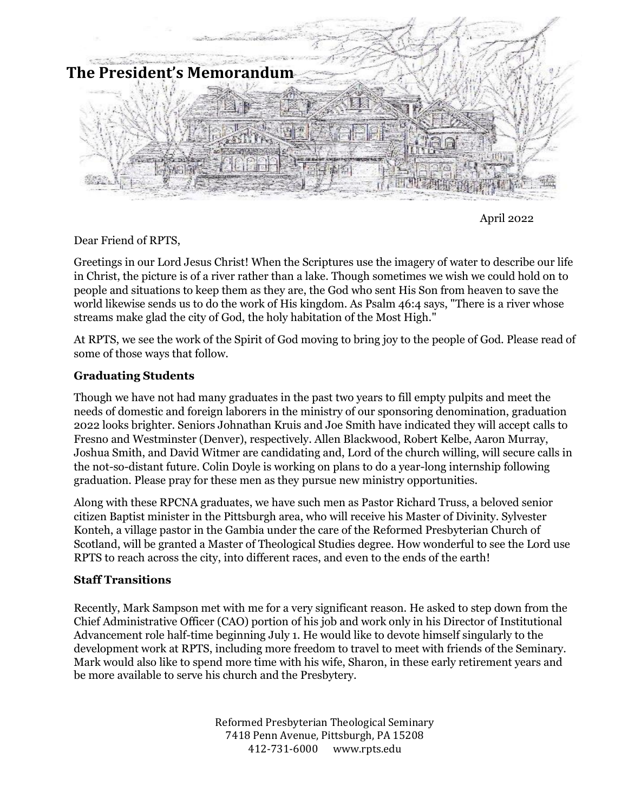

April 2022

Dear Friend of RPTS,

Greetings in our Lord Jesus Christ! When the Scriptures use the imagery of water to describe our life in Christ, the picture is of a river rather than a lake. Though sometimes we wish we could hold on to people and situations to keep them as they are, the God who sent His Son from heaven to save the world likewise sends us to do the work of His kingdom. As Psalm 46:4 says, "There is a river whose streams make glad the city of God, the holy habitation of the Most High."

At RPTS, we see the work of the Spirit of God moving to bring joy to the people of God. Please read of some of those ways that follow.

## **Graduating Students**

Though we have not had many graduates in the past two years to fill empty pulpits and meet the needs of domestic and foreign laborers in the ministry of our sponsoring denomination, graduation 2022 looks brighter. Seniors Johnathan Kruis and Joe Smith have indicated they will accept calls to Fresno and Westminster (Denver), respectively. Allen Blackwood, Robert Kelbe, Aaron Murray, Joshua Smith, and David Witmer are candidating and, Lord of the church willing, will secure calls in the not-so-distant future. Colin Doyle is working on plans to do a year-long internship following graduation. Please pray for these men as they pursue new ministry opportunities.

Along with these RPCNA graduates, we have such men as Pastor Richard Truss, a beloved senior citizen Baptist minister in the Pittsburgh area, who will receive his Master of Divinity. Sylvester Konteh, a village pastor in the Gambia under the care of the Reformed Presbyterian Church of Scotland, will be granted a Master of Theological Studies degree. How wonderful to see the Lord use RPTS to reach across the city, into different races, and even to the ends of the earth!

## **Staff Transitions**

Recently, Mark Sampson met with me for a very significant reason. He asked to step down from the Chief Administrative Officer (CAO) portion of his job and work only in his Director of Institutional Advancement role half-time beginning July 1. He would like to devote himself singularly to the development work at RPTS, including more freedom to travel to meet with friends of the Seminary. Mark would also like to spend more time with his wife, Sharon, in these early retirement years and be more available to serve his church and the Presbytery.

> Reformed Presbyterian Theological Seminary 7418 Penn Avenue, Pittsburgh, PA 15208 412-731-6000 www.rpts.edu